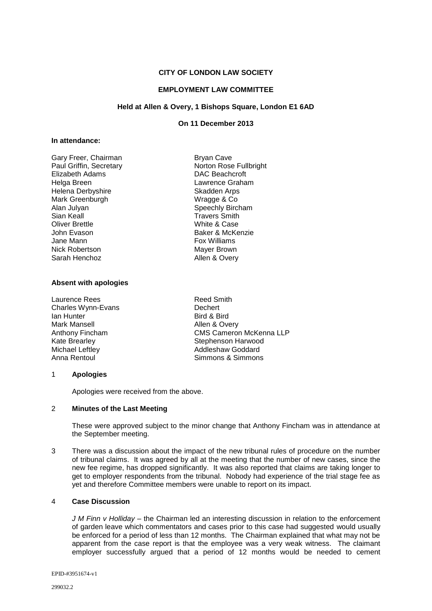# **CITY OF LONDON LAW SOCIETY**

### **EMPLOYMENT LAW COMMITTEE**

## **Held at Allen & Overy, 1 Bishops Square, London E1 6AD**

### **On 11 December 2013**

#### **In attendance:**

| Gary Freer, Chairman    |
|-------------------------|
| Paul Griffin, Secretary |
| Elizabeth Adams         |
| Helga Breen             |
| Helena Derbyshire       |
| Mark Greenburgh         |
| Alan Julyan             |
| Sian Keall              |
| Oliver Brettle          |
| John Evason             |
| Jane Mann               |
| <b>Nick Robertson</b>   |
| Sarah Henchoz           |

#### **Absent with apologies**

Laurence Rees<br>
Charles Wynn-Fyans<br>
Charles Wynn-Fyans<br>
Charles Wynn-Fyans Charles Wynn-Evans<br>Ian Hunter Ian Hunter Bird & Bird Mark Mansell **Mansell Allen & Overy**<br>Anthony Fincham **Allen And Allen & Overy** 

Bryan Cave Norton Rose Fullbright DAC Beachcroft Lawrence Graham Skadden Arps Wragge & Co Speechly Bircham **Travers Smith** White & Case Baker & McKenzie **Fox Williams** Mayer Brown Allen & Overy

Anthony Fincham CMS Cameron McKenna LLP<br>
Kate Brearley CMS Cameron Harwood Kate Brearley **Stephenson Harwood**<br>
Michael Leftley **Stephenson Harwood**<br>
Addleshaw Goddard Michael Leftley **Addleshaw Goddard**<br>
Anna Rentoul **Anna Rentoul**<br>
Anna Rentoul Simmons & Simmons

#### 1 **Apologies**

Apologies were received from the above.

### 2 **Minutes of the Last Meeting**

These were approved subject to the minor change that Anthony Fincham was in attendance at the September meeting.

3 There was a discussion about the impact of the new tribunal rules of procedure on the number of tribunal claims. It was agreed by all at the meeting that the number of new cases, since the new fee regime, has dropped significantly. It was also reported that claims are taking longer to get to employer respondents from the tribunal. Nobody had experience of the trial stage fee as yet and therefore Committee members were unable to report on its impact.

### 4 **Case Discussion**

*J M Finn v Holliday* – the Chairman led an interesting discussion in relation to the enforcement of garden leave which commentators and cases prior to this case had suggested would usually be enforced for a period of less than 12 months. The Chairman explained that what may not be apparent from the case report is that the employee was a very weak witness. The claimant employer successfully argued that a period of 12 months would be needed to cement